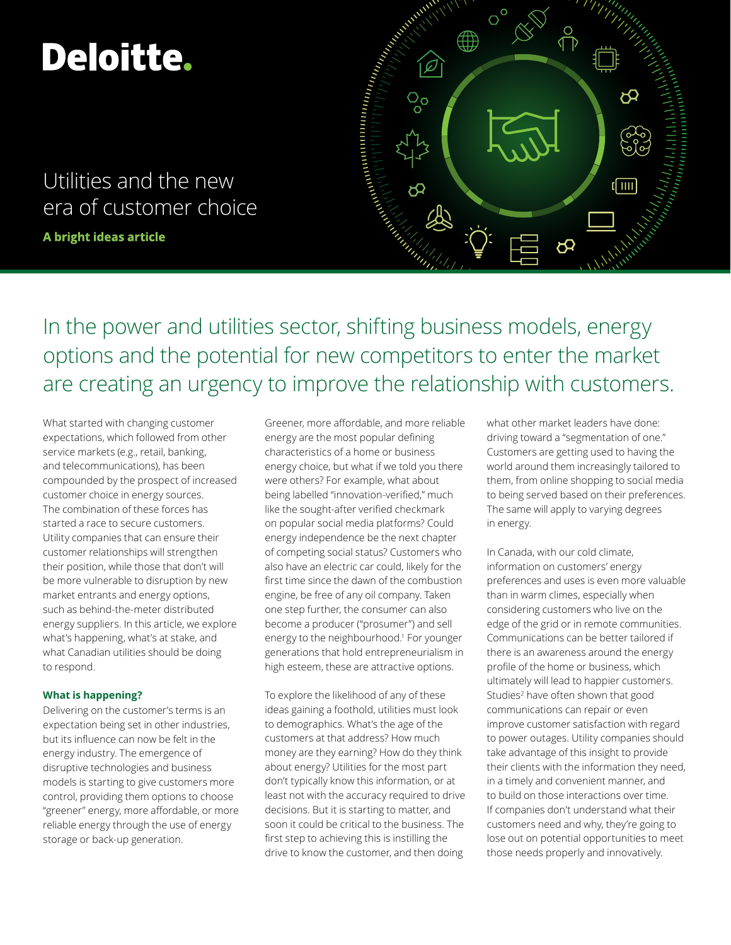# **Deloitte.**

Utilities and the new era of customer choice

**A bright ideas article** 



In the power and utilities sector, shifting business models, energy options and the potential for new competitors to enter the market are creating an urgency to improve the relationship with customers.

What started with changing customer expectations, which followed from other service markets (e.g., retail, banking, and telecommunications), has been compounded by the prospect of increased customer choice in energy sources. The combination of these forces has started a race to secure customers. Utility companies that can ensure their customer relationships will strengthen their position, while those that don't will be more vulnerable to disruption by new market entrants and energy options, such as behind-the-meter distributed energy suppliers. In this article, we explore what's happening, what's at stake, and what Canadian utilities should be doing to respond.

# **What is happening?**

Delivering on the customer's terms is an expectation being set in other industries, but its influence can now be felt in the energy industry. The emergence of disruptive technologies and business models is starting to give customers more control, providing them options to choose "greener" energy, more affordable, or more reliable energy through the use of energy storage or back-up generation.

Greener, more affordable, and more reliable energy are the most popular defining characteristics of a home or business energy choice, but what if we told you there were others? For example, what about being labelled "innovation-verified," much like the sought-after verified checkmark on popular social media platforms? Could energy independence be the next chapter of competing social status? Customers who also have an electric car could, likely for the first time since the dawn of the combustion engine, be free of any oil company. Taken one step further, the consumer can also become a producer ("prosumer") and sell energy to the neighbourhood.1 For younger generations that hold entrepreneurialism in high esteem, these are attractive options.

To explore the likelihood of any of these ideas gaining a foothold, utilities must look to demographics. What's the age of the customers at that address? How much money are they earning? How do they think about energy? Utilities for the most part don't typically know this information, or at least not with the accuracy required to drive decisions. But it is starting to matter, and soon it could be critical to the business. The first step to achieving this is instilling the drive to know the customer, and then doing

what other market leaders have done: driving toward a "segmentation of one." Customers are getting used to having the world around them increasingly tailored to them, from online shopping to social media to being served based on their preferences. The same will apply to varying degrees in energy.

In Canada, with our cold climate, information on customers' energy preferences and uses is even more valuable than in warm climes, especially when considering customers who live on the edge of the grid or in remote communities. Communications can be better tailored if there is an awareness around the energy profile of the home or business, which ultimately will lead to happier customers. Studies<sup>2</sup> have often shown that good communications can repair or even improve customer satisfaction with regard to power outages. Utility companies should take advantage of this insight to provide their clients with the information they need, in a timely and convenient manner, and to build on those interactions over time. If companies don't understand what their customers need and why, they're going to lose out on potential opportunities to meet those needs properly and innovatively.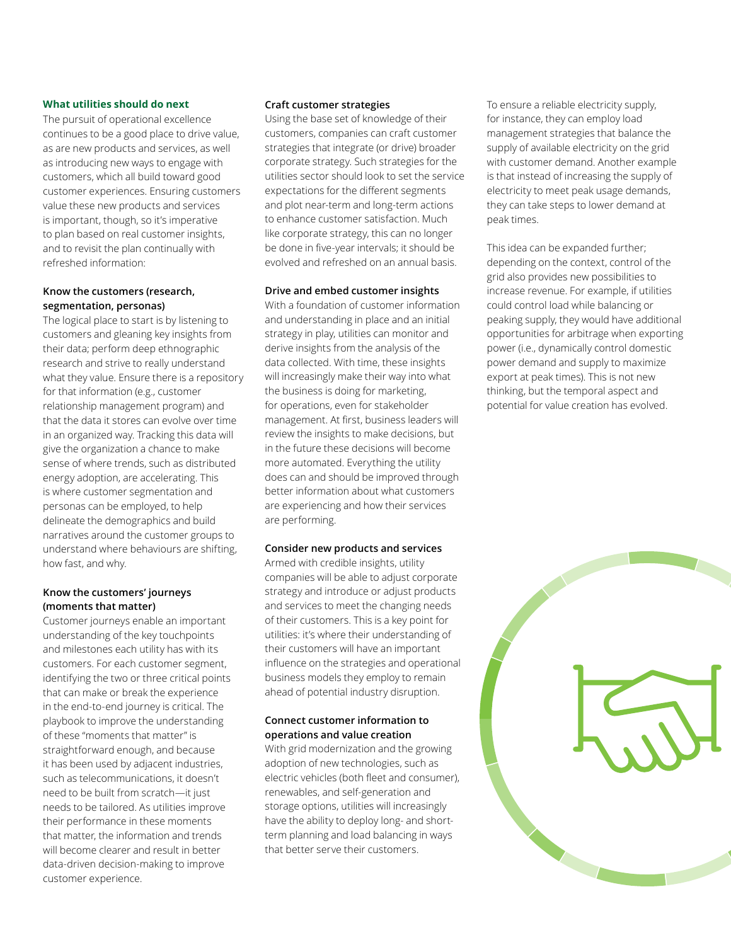## **What utilities should do next**

The pursuit of operational excellence continues to be a good place to drive value, as are new products and services, as well as introducing new ways to engage with customers, which all build toward good customer experiences. Ensuring customers value these new products and services is important, though, so it's imperative to plan based on real customer insights, and to revisit the plan continually with refreshed information:

## **Know the customers (research, segmentation, personas)**

The logical place to start is by listening to customers and gleaning key insights from their data; perform deep ethnographic research and strive to really understand what they value. Ensure there is a repository for that information (e.g., customer relationship management program) and that the data it stores can evolve over time in an organized way. Tracking this data will give the organization a chance to make sense of where trends, such as distributed energy adoption, are accelerating. This is where customer segmentation and personas can be employed, to help delineate the demographics and build narratives around the customer groups to understand where behaviours are shifting, how fast, and why.

## **Know the customers' journeys (moments that matter)**

Customer journeys enable an important understanding of the key touchpoints and milestones each utility has with its customers. For each customer segment, identifying the two or three critical points that can make or break the experience in the end-to-end journey is critical. The playbook to improve the understanding of these "moments that matter" is straightforward enough, and because it has been used by adjacent industries, such as telecommunications, it doesn't need to be built from scratch—it just needs to be tailored. As utilities improve their performance in these moments that matter, the information and trends will become clearer and result in better data-driven decision-making to improve customer experience.

## **Craft customer strategies**

Using the base set of knowledge of their customers, companies can craft customer strategies that integrate (or drive) broader corporate strategy. Such strategies for the utilities sector should look to set the service expectations for the different segments and plot near-term and long-term actions to enhance customer satisfaction. Much like corporate strategy, this can no longer be done in five-year intervals; it should be evolved and refreshed on an annual basis.

## **Drive and embed customer insights**

With a foundation of customer information and understanding in place and an initial strategy in play, utilities can monitor and derive insights from the analysis of the data collected. With time, these insights will increasingly make their way into what the business is doing for marketing, for operations, even for stakeholder management. At first, business leaders will review the insights to make decisions, but in the future these decisions will become more automated. Everything the utility does can and should be improved through better information about what customers are experiencing and how their services are performing.

## **Consider new products and services**

Armed with credible insights, utility companies will be able to adjust corporate strategy and introduce or adjust products and services to meet the changing needs of their customers. This is a key point for utilities: it's where their understanding of their customers will have an important influence on the strategies and operational business models they employ to remain ahead of potential industry disruption.

## **Connect customer information to operations and value creation**

With grid modernization and the growing adoption of new technologies, such as electric vehicles (both fleet and consumer), renewables, and self-generation and storage options, utilities will increasingly have the ability to deploy long- and shortterm planning and load balancing in ways that better serve their customers.

To ensure a reliable electricity supply, for instance, they can employ load management strategies that balance the supply of available electricity on the grid with customer demand. Another example is that instead of increasing the supply of electricity to meet peak usage demands, they can take steps to lower demand at peak times.

This idea can be expanded further; depending on the context, control of the grid also provides new possibilities to increase revenue. For example, if utilities could control load while balancing or peaking supply, they would have additional opportunities for arbitrage when exporting power (i.e., dynamically control domestic power demand and supply to maximize export at peak times). This is not new thinking, but the temporal aspect and potential for value creation has evolved.

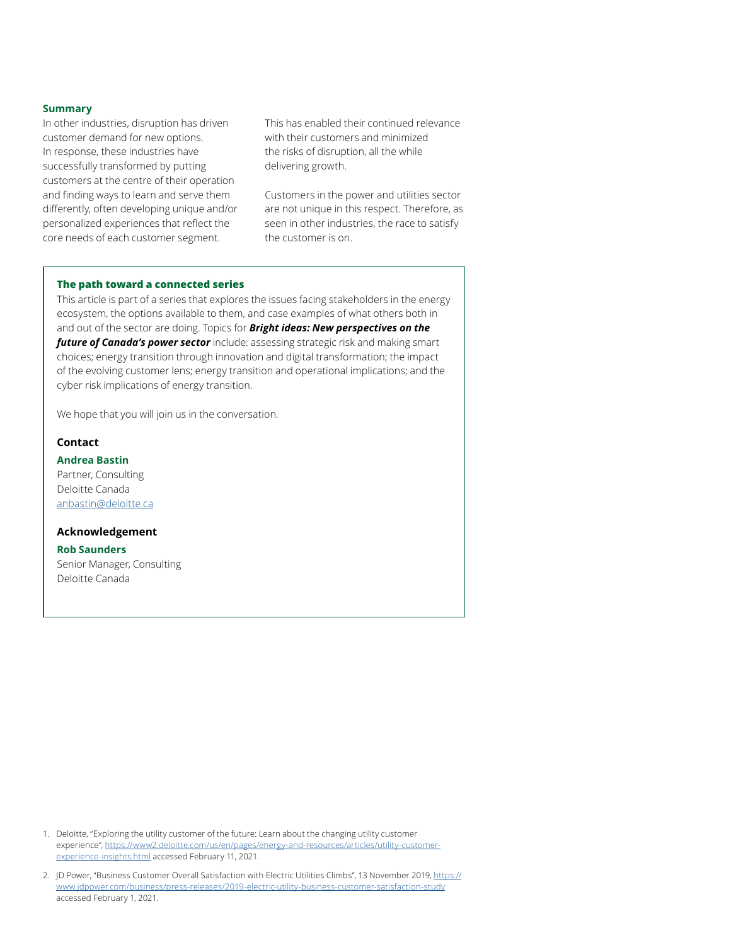#### **Summary**

In other industries, disruption has driven customer demand for new options. In response, these industries have successfully transformed by putting customers at the centre of their operation and finding ways to learn and serve them differently, often developing unique and/or personalized experiences that reflect the core needs of each customer segment.

This has enabled their continued relevance with their customers and minimized the risks of disruption, all the while delivering growth.

Customers in the power and utilities sector are not unique in this respect. Therefore, as seen in other industries, the race to satisfy the customer is on.

#### **The path toward a connected series**

This article is part of a series that explores the issues facing stakeholders in the energy ecosystem, the options available to them, and case examples of what others both in and out of the sector are doing. Topics for *Bright ideas: New perspectives on the future of Canada's power sector* include: assessing strategic risk and making smart choices; energy transition through innovation and digital transformation; the impact of the evolving customer lens; energy transition and operational implications; and the cyber risk implications of energy transition.

We hope that you will join us in the conversation.

# **Contact**

## **Andrea Bastin**

Partner, Consulting Deloitte Canada [anbastin@deloitte.ca](mailto:anbastin@deloitte.ca)

## **Acknowledgement**

## **Rob Saunders**

Senior Manager, Consulting Deloitte Canada

1. Deloitte, "Exploring the utility customer of the future: Learn about the changing utility customer [experience", https://www2.deloitte.com/us/en/pages/energy-and-resources/articles/utility-customer](https://www2.deloitte.com/us/en/pages/energy-and-resources/articles/utility-customer-experience-insights.html)experience-insights.html accessed February 11, 2021.

2. [JD Power, "Business Customer Overall Satisfaction with Electric Utilities Climbs", 13 November 2019, https://](https://www.jdpower.com/business/press-releases/2019-electric-utility-business-customer-satisfaction-study) www.jdpower.com/business/press-releases/2019-electric-utility-business-customer-satisfaction-study accessed February 1, 2021.